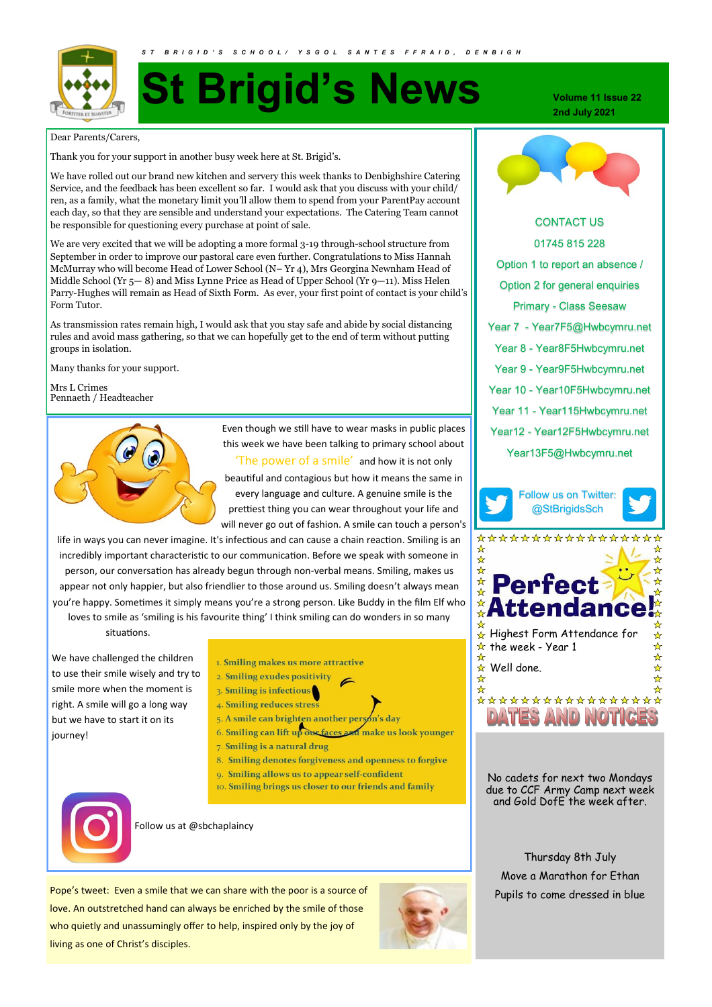

# **St Brigid's News**

Dear Parents/Carers,

Thank you for your support in another busy week here at St. Brigid's.

We have rolled out our brand new kitchen and servery this week thanks to Denbighshire Catering Service, and the feedback has been excellent so far. I would ask that you discuss with your child/ ren, as a family, what the monetary limit you'll allow them to spend from your ParentPay account each day, so that they are sensible and understand your expectations. The Catering Team cannot be responsible for questioning every purchase at point of sale.

We are very excited that we will be adopting a more formal 3-19 through-school structure from September in order to improve our pastoral care even further. Congratulations to Miss Hannah McMurray who will become Head of Lower School (N– Yr 4), Mrs Georgina Newnham Head of Middle School (Yr 5— 8) and Miss Lynne Price as Head of Upper School (Yr 9—11). Miss Helen Parry-Hughes will remain as Head of Sixth Form. As ever, your first point of contact is your child's Form Tutor.

As transmission rates remain high, I would ask that you stay safe and abide by social distancing rules and avoid mass gathering, so that we can hopefully get to the end of term without putting groups in isolation.

Many thanks for your support.

Mrs L Crimes Pennaeth / Headteacher



Even though we still have to wear masks in public places this week we have been talking to primary school about 'The power of a smile' and how it is not only beautiful and contagious but how it means the same in every language and culture. A genuine smile is the prettiest thing you can wear throughout your life and will never go out of fashion. A smile can touch a person's

life in ways you can never imagine. It's infectious and can cause a chain reaction. Smiling is an incredibly important characteristic to our communication. Before we speak with someone in person, our conversation has already begun through non-verbal means. Smiling, makes us appear not only happier, but also friendlier to those around us. Smiling doesn't always mean you're happy. Sometimes it simply means you're a strong person. Like Buddy in the film Elf who loves to smile as 'smiling is his favourite thing' I think smiling can do wonders in so many

situations.

We have challenged the children to use their smile wisely and try to smile more when the moment is right. A smile will go a long way but we have to start it on its journey!

- 1. Smiling makes us more attractive
- 2. Smiling exudes positivity
- $3.$  Smiling is infectious
- 4. Smiling reduces stress
- 5. A smile can brighten another person's day
- 6. Smiling can lift up one faces and make us look younger

 $\epsilon$ 

- 7. Smiling is a natural drug
- 8. Smiling denotes forgiveness and openness to forgive
- 9. Smiling allows us to appear self-confident
- 10. Smiling brings us closer to our friends and family



Follow us at @sbchaplaincy

Pope's tweet: Even a smile that we can share with the poor is a source of love. An outstretched hand can always be enriched by the smile of those who quietly and unassumingly offer to help, inspired only by the joy of living as one of Christ's disciples.



**Volume 11 Issue 22 2nd July 2021**



CONTACT US 01745 815 228 Option 1 to report an absence / Option 2 for general enquiries Primary - Class Seesaw Year 7 - Year7F5@Hwbcymru.net Year 8 - Year8F5Hwbcymru.net Year 9 - Year9F5Hwbcymru.net Year 10 - Year10F5Hwbcymru.net Year 11 - Year115Hwbcymru.net Year12 - Year12F5Hwbcymru.net Year13F5@Hwbcymru.net



\*\*\*\*\*\*\*\*\*\*\*\*\*\*\*



No cadets for next two Mondays due to CCF Army Camp next week and Gold DofE the week after.

Thursday 8th July Move a Marathon for Ethan Pupils to come dressed in blue